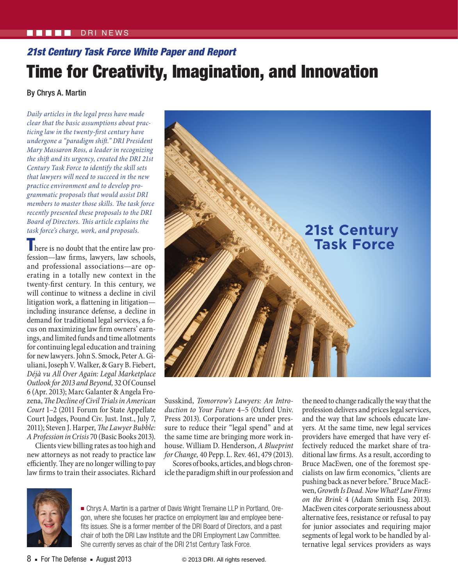## $N$ FWS

# *21st Century Task Force White Paper and Report* Time for Creativity, Imagination, and Innovation

By Chrys A. Martin

*Daily articles in the legal press have made clear that the basic assumptions about practicing law in the twenty-first century have undergone a "paradigm shift." DRI President Mary Massaron Ross, a leader in recognizing the shift and its urgency, created the DRI 21st Century Task Force to identify the skill sets that lawyers will need to succeed in the new practice environment and to develop programmatic proposals that would assist DRI members to master those skills. The task force recently presented these proposals to the DRI Board of Directors. This article explains the task force's charge, work, and proposals.*

**There is no doubt that the entire law pro**fession—law firms, lawyers, law schools, and professional associations—are operating in a totally new context in the twenty-first century. In this century, we will continue to witness a decline in civil litigation work, a flattening in litigation including insurance defense, a decline in demand for traditional legal services, a focus on maximizing law firm owners' earnings, and limited funds and time allotments for continuing legal education and training for new lawyers. John S. Smock, Peter A. Giuliani, Joseph V. Walker, & Gary B. Fiebert, *Déjà vu All Over Again: Legal Marketplace Outlook for 2013 and Beyond,* 32Of Counsel 6 (Apr. 2013); Marc Galanter & Angela Frozena, *The Decline of Civil Trials in American Court* 1–2 (2011 Forum for State Appellate Court Judges, Pound Civ. Just. Inst., July 7, 2011); Steven J. Harper, *The Lawyer Bubble: A Profession in Crisis* 70 (Basic Books 2013).

Clients view billing rates as too high and new attorneys as not ready to practice law efficiently. They are no longer willing to pay law firms to train their associates. Richard



Susskind, *Tomorrow's Lawyers: An Introduction to Your Future* 4–5 (Oxford Univ. Press 2013). Corporations are under pressure to reduce their "legal spend" and at the same time are bringing more work inhouse. William D. Henderson, *A Blueprint for Change,* 40 Pepp. L. Rev. 461, 479 (2013).

Scores of books, articles, and blogs chronicle the paradigm shift in our profession and



■ Chrys A. Martin is a partner of Davis Wright Tremaine LLP in Portland, Oregon, where she focuses her practice on employment law and employee benefits issues. She is a former member of the DRI Board of Directors, and a past chair of both the DRI Law Institute and the DRI Employment Law Committee. She currently serves as chair of the DRI 21st Century Task Force.

the need to change radically the way that the profession delivers and prices legal services, and the way that law schools educate lawyers. At the same time, new legal services providers have emerged that have very effectively reduced the market share of traditional law firms. As a result, according to Bruce MacEwen, one of the foremost specialists on law firm economics, "clients are pushing back as never before." Bruce MacEwen, *Growth Is Dead. Now What? Law Firms on the Brink* 4 (Adam Smith Esq. 2013). MacEwen cites corporate seriousness about alternative fees, resistance or refusal to pay for junior associates and requiring major segments of legal work to be handled by alternative legal services providers as ways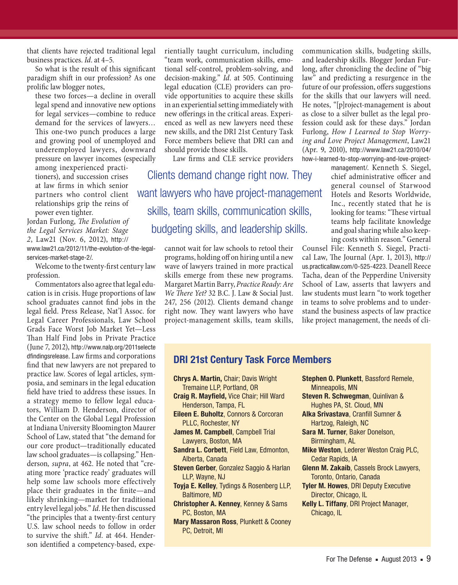that clients have rejected traditional legal business practices. *Id*. at 4–5.

So what is the result of this significant paradigm shift in our profession? As one prolific law blogger notes,

these two forces—a decline in overall legal spend and innovative new options for legal services—combine to reduce demand for the services of lawyers… This one-two punch produces a large and growing pool of unemployed and underemployed lawyers, downward pressure on lawyer incomes (especially

among inexperienced practitioners), and succession crises at law firms in which senior partners who control client relationships grip the reins of power even tighter.

Jordan Furlong, *The Evolution of the Legal Services Market: Stage 2*, Law21 (Nov. 6, 2012), [http://](http://www.law21.ca/2012/11/the-evolution-of-the-legal-services-market-stage-2/) [www.law21.ca/2012/11/the-evolution-of-the-legal-](http://www.law21.ca/2012/11/the-evolution-of-the-legal-services-market-stage-2/)

[services-market-stage-2/](http://www.law21.ca/2012/11/the-evolution-of-the-legal-services-market-stage-2/).

Welcome to the twenty-first century law profession.

Commentators also agree that legal education is in crisis. Huge proportions of law school graduates cannot find jobs in the legal field. Press Release, Nat'l Assoc. for Legal Career Professionals*,* Law School Grads Face Worst Job Market Yet—Less Than Half Find Jobs in Private Practice (June 7, 2012), [http://www.nalp.org/2011selecte](http://www.nalp.org/2011selectedfindingsrelease) [dfindingsrelease](http://www.nalp.org/2011selectedfindingsrelease). Law firms and corporations find that new lawyers are not prepared to practice law. Scores of legal articles, symposia, and seminars in the legal education field have tried to address these issues. In a strategy memo to fellow legal educators, William D. Henderson, director of the Center on the Global Legal Profession at Indiana University Bloomington Maurer School of Law, stated that "the demand for our core product—traditionally educated law school graduates—is collapsing." Henderson*, supra*, at 462. He noted that "creating more 'practice ready' graduates will help some law schools more effectively place their graduates in the finite—and likely shrinking—market for traditional entry level legal jobs." *Id*. He then discussed "the principles that a twenty-first century U.S. law school needs to follow in order to survive the shift." *Id*. at 464. Henderson identified a competency-based, experientially taught curriculum, including "team work, communication skills, emotional self-control, problem-solving, and decision-making." *Id*. at 505. Continuing legal education (CLE) providers can provide opportunities to acquire these skills in an experiential setting immediately with new offerings in the critical areas. Experienced as well as new lawyers need these new skills, and the DRI 21st Century Task Force members believe that DRI can and should provide those skills.

Law firms and CLE service providers

Clients demand change right now. They want lawyers who have project-management skills, team skills, communication skills, budgeting skills, and leadership skills.

> cannot wait for law schools to retool their programs, holding off on hiring until a new wave of lawyers trained in more practical skills emerge from these new programs. Margaret Martin Barry, *Practice Ready: Are We There Yet?* 32 B.C. J. Law & Social Just. 247, 256 (2012). Clients demand change right now. They want lawyers who have project-management skills, team skills,

communication skills, budgeting skills, and leadership skills. Blogger Jordan Furlong, after chronicling the decline of "big law" and predicting a resurgence in the future of our profession, offers suggestions for the skills that our lawyers will need. He notes, "[p]roject-management is about as close to a silver bullet as the legal profession could ask for these days." Jordan Furlong, *How I Learned to Stop Worrying and Love Project Management*, Law21 (Apr. 9, 2010), [http://www.law21.ca/2010/04/](http://www.law21.ca/2010/04/how-i-learned-to-stop-worrying-and-love-project-management/) [how-i-learned-to-stop-worrying-and-love-project-](http://www.law21.ca/2010/04/how-i-learned-to-stop-worrying-and-love-project-management/)

> [management/](http://www.law21.ca/2010/04/how-i-learned-to-stop-worrying-and-love-project-management/). Kenneth S. Siegel, chief administrative officer and general counsel of Starwood Hotels and Resorts Worldwide, Inc., recently stated that he is looking for teams: "These virtual teams help facilitate knowledge and goal sharing while also keeping costs within reason." General

Counsel File: Kenneth S. Siegel, Practical Law, The Journal (Apr. 1, 2013), [http://](http://us.practicallaw.com/0-525-4223) [us.practicallaw.com/0-525-4223](http://us.practicallaw.com/0-525-4223). Deanell Reece Tacha, dean of the Pepperdine University School of Law, asserts that lawyers and law students must learn "to work together in teams to solve problems and to understand the business aspects of law practice like project management, the needs of cli-

# **DRI 21st Century Task Force Members**

- **Chrys A. Martin,** Chair; Davis Wright Tremaine LLP, Portland, OR **Craig R. Mayfield,** Vice Chair; Hill Ward
- Henderson, Tampa, FL **Eileen E. Buholtz**, Connors & Corcoran
	- PLLC, Rochester, NY
- **James M. Campbell**, Campbell Trial Lawyers, Boston, MA
- **Sandra L. Corbett**, Field Law, Edmonton, Alberta, Canada
- **Steven Gerber**, Gonzalez Saggio & Harlan LLP, Wayne, NJ
- **Toyja E. Kelley**, Tydings & Rosenberg LLP, Baltimore, MD
- **Christopher A. Kenney**, Kenney & Sams PC, Boston, MA
- **Mary Massaron Ross**, Plunkett & Cooney PC, Detroit, MI

Minneapolis, MN **Steven R. Schwegman**, Quinlivan & Hughes PA, St. Cloud, MN **Alka Srivastava**, Cranfill Sumner & Hartzog, Raleigh, NC **Sara M. Turner**, Baker Donelson, Birmingham, AL **Mike Weston**, Lederer Weston Craig PLC,

**Stephen O. Plunkett**, Bassford Remele,

- Cedar Rapids, IA **Glenn M. Zakaib**, Cassels Brock Lawyers, Toronto, Ontario, Canada
- **Tyler M. Howes**, DRI Deputy Executive Director, Chicago, IL
- **Kelly L. Tiffany**, DRI Project Manager, Chicago, IL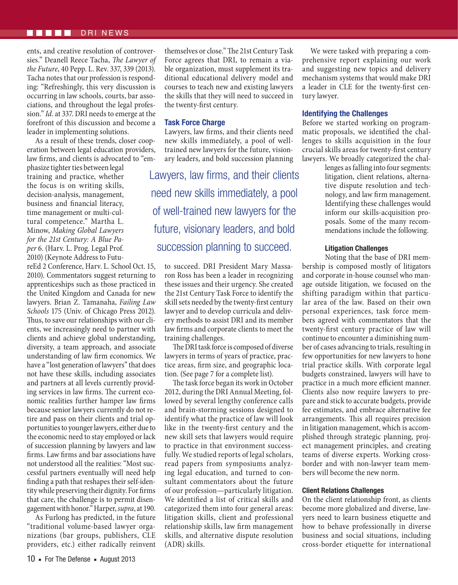#### DRI NEWS

ents, and creative resolution of controversies." Deanell Reece Tacha, *The Lawyer of the Future*, 40 Pepp. L. Rev. 337, 339 (2013). Tacha notes that our profession is responding: "Refreshingly, this very discussion is occurring in law schools, courts, bar associations, and throughout the legal profession." *Id*. at 337. DRI needs to emerge at the forefront of this discussion and become a leader in implementing solutions.

As a result of these trends, closer cooperation between legal education providers, law firms, and clients is advocated to "em-

phasize tighter ties between legal training and practice, whether the focus is on writing skills, decision-analysis, management, business and financial literacy, time management or multi-cultural competence." Martha L. Minow, *Making Global Lawyers for the 21st Century: A Blue Paper* 6. (Harv. L. Prog. Legal Prof. 2010) (Keynote Address to Futu-

reEd 2 Conference, Harv. L. School Oct. 15, 2010). Commentators suggest returning to apprenticeships such as those practiced in the United Kingdom and Canada for new lawyers. Brian Z. Tamanaha, *Failing Law Schools* 175 (Univ. of Chicago Press 2012). Thus, to save our relationships with our clients, we increasingly need to partner with clients and achieve global understanding, diversity, a team approach, and associate understanding of law firm economics. We have a "lost generation of lawyers" that does not have these skills, including associates and partners at all levels currently providing services in law firms. The current economic realities further hamper law firms because senior lawyers currently do not retire and pass on their clients and trial opportunities to younger lawyers, either due to the economic need to stay employed or lack of succession planning by lawyers and law firms. Law firms and bar associations have not understood all the realities: "Most successful partners eventually will need help finding a path that reshapes their self-identity while preserving their dignity. For firms that care, the challenge is to permit disengagement with honor." Harper, *supra*, at 190.

As Furlong has predicted, in the future "traditional volume-based lawyer organizations (bar groups, publishers, CLE providers, etc.) either radically reinvent

themselves or close." The 21st Century Task Force agrees that DRI, to remain a viable organization, must supplement its traditional educational delivery model and courses to teach new and existing lawyers the skills that they will need to succeed in the twenty-first century.

#### **Task Force Charge**

Lawyers, law firms, and their clients need new skills immediately, a pool of welltrained new lawyers for the future, visionary leaders, and bold succession planning

Lawyers, law firms, and their clients need new skills immediately, a pool of well-trained new lawyers for the future, visionary leaders, and bold succession planning to succeed.

to succeed. DRI President Mary Massaron Ross has been a leader in recognizing these issues and their urgency. She created the 21st Century Task Force to identify the skill sets needed by the twenty-first century lawyer and to develop curricula and delivery methods to assist DRI and its member law firms and corporate clients to meet the training challenges.

The DRI task force is composed of diverse lawyers in terms of years of practice, practice areas, firm size, and geographic location. (See page 7 for a complete list).

The task force began its work in October 2012, during the DRI Annual Meeting, followed by several lengthy conference calls and brain-storming sessions designed to identify what the practice of law will look like in the twenty-first century and the new skill sets that lawyers would require to practice in that environment successfully. We studied reports of legal scholars, read papers from symposiums analyzing legal education, and turned to consultant commentators about the future of our profession—particularly litigation. We identified a list of critical skills and categorized them into four general areas: litigation skills, client and professional relationship skills, law firm management skills, and alternative dispute resolution (ADR) skills.

We were tasked with preparing a comprehensive report explaining our work and suggesting new topics and delivery mechanism systems that would make DRI a leader in CLE for the twenty-first century lawyer.

#### **Identifying the Challenges**

Before we started working on programmatic proposals, we identified the challenges to skills acquisition in the four crucial skills areas for twenty-first century lawyers. We broadly categorized the chal-

> lenges as falling into four segments: litigation, client relations, alternative dispute resolution and technology, and law firm management. Identifying these challenges would inform our skills-acquisition proposals. Some of the many recommendations include the following.

#### **Litigation Challenges**

Noting that the base of DRI membership is composed mostly of litigators and corporate in-house counsel who manage outside litigation, we focused on the shifting paradigm within that particular area of the law. Based on their own personal experiences, task force members agreed with commentators that the twenty-first century practice of law will continue to encounter a diminishing number of cases advancing to trials, resulting in few opportunities for new lawyers to hone trial practice skills. With corporate legal budgets constrained, lawyers will have to practice in a much more efficient manner. Clients also now require lawyers to prepare and stick to accurate budgets, provide fee estimates, and embrace alternative fee arrangements. This all requires precision in litigation management, which is accomplished through strategic planning, project management principles, and creating teams of diverse experts. Working crossborder and with non-lawyer team members will become the new norm.

#### **Client Relations Challenges**

On the client relationship front, as clients become more globalized and diverse, lawyers need to learn business etiquette and how to behave professionally in diverse business and social situations, including cross-border etiquette for international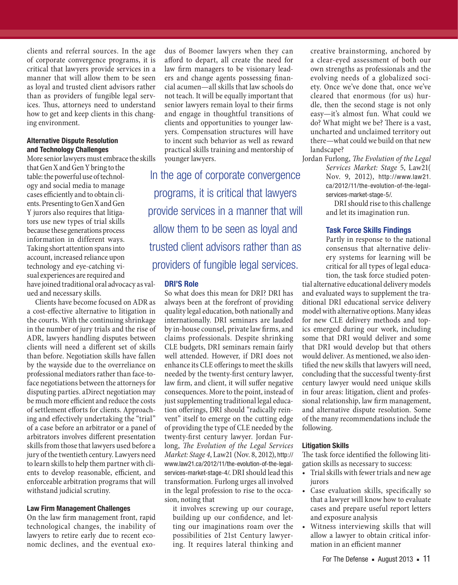clients and referral sources. In the age of corporate convergence programs, it is critical that lawyers provide services in a manner that will allow them to be seen as loyal and trusted client advisors rather than as providers of fungible legal services. Thus, attorneys need to understand how to get and keep clients in this changing environment.

# **Alternative Dispute Resolution and Technology Challenges**

More senior lawyers must embrace the skills

that Gen X and Gen Y bring to the table: the powerful use of technology and social media to manage cases efficiently and to obtain clients. Presenting to Gen X and Gen Y jurors also requires that litigators use new types of trial skills because these generations process information in different ways. Taking short attention spans into account, increased reliance upon technology and eye-catching visual experiences are required and have joined traditional oral advocacy as valued and necessary skills.

Clients have become focused on ADR as a cost-effective alternative to litigation in the courts. With the continuing shrinkage in the number of jury trials and the rise of ADR, lawyers handling disputes between clients will need a different set of skills than before. Negotiation skills have fallen by the wayside due to the overreliance on professional mediators rather than face-toface negotiations between the attorneys for disputing parties. aDirect negotiation may be much more efficient and reduce the costs of settlement efforts for clients. Approaching and effectively undertaking the "trial" of a case before an arbitrator or a panel of arbitrators involves different presentation skills from those that lawyers used before a jury of the twentieth century. Lawyers need to learn skills to help them partner with clients to develop reasonable, efficient, and enforceable arbitration programs that will withstand judicial scrutiny.

### **Law Firm Management Challenges**

On the law firm management front, rapid technological changes, the inability of lawyers to retire early due to recent economic declines, and the eventual exodus of Boomer lawyers when they can afford to depart, all create the need for law firm managers to be visionary leaders and change agents possessing financial acumen—all skills that law schools do not teach. It will be equally important that senior lawyers remain loyal to their firms and engage in thoughtful transitions of clients and opportunities to younger lawyers. Compensation structures will have to incent such behavior as well as reward practical skills training and mentorship of younger lawyers.

In the age of corporate convergence programs, it is critical that lawyers provide services in a manner that will allow them to be seen as loyal and trusted client advisors rather than as providers of fungible legal services.

#### **DRI'S Role**

So what does this mean for DRI? DRI has always been at the forefront of providing quality legal education, both nationally and internationally. DRI seminars are lauded by in-house counsel, private law firms, and claims professionals. Despite shrinking CLE budgets, DRI seminars remain fairly well attended. However, if DRI does not enhance its CLE offerings to meet the skills needed by the twenty-first century lawyer, law firm, and client, it will suffer negative consequences. More to the point, instead of just supplementing traditional legal education offerings, DRI should "radically reinvent" itself to emerge on the cutting edge of providing the type of CLE needed by the twenty-first century lawyer. Jordan Furlong, *The Evolution of the Legal Services Market: Stage 4*, Law21 (Nov. 8, 2012), [http://](http://www.law21.ca/2012/11/the-evolution-of-the-legal-services-market-stage-4/) [www.law21.ca/2012/11/the-evolution-of-the-legal](http://www.law21.ca/2012/11/the-evolution-of-the-legal-services-market-stage-4/)[services-market-stage-4/](http://www.law21.ca/2012/11/the-evolution-of-the-legal-services-market-stage-4/). DRI should lead this transformation. Furlong urges all involved in the legal profession to rise to the occasion, noting that

it involves screwing up our courage, building up our confidence, and letting our imaginations roam over the possibilities of 21st Century lawyering. It requires lateral thinking and creative brainstorming, anchored by a clear-eyed assessment of both our own strengths as professionals and the evolving needs of a globalized society. Once we've done that, once we've cleared that enormous (for us) hurdle, then the second stage is not only easy*—*it's almost fun. What could we do? What might we be? There is a vast, uncharted and unclaimed territory out there*—*what could we build on that new landscape?

Jordan Furlong, *The Evolution of the Legal Services Market: Stage* 5, Law21( Nov. 9, 2012), [http://www.law21.](http://www.law21.ca/2012/11/the-evolution-of-the-legal-services-market-stage-5/) [ca/2012/11/the-evolution-of-the-legal](http://www.law21.ca/2012/11/the-evolution-of-the-legal-services-market-stage-5/)[services-market-stage-5/](http://www.law21.ca/2012/11/the-evolution-of-the-legal-services-market-stage-5/).

DRI should rise to this challenge and let its imagination run.

# **Task Force Skills Findings**

Partly in response to the national consensus that alternative delivery systems for learning will be critical for all types of legal education, the task force studied poten-

tial alternative educational delivery models and evaluated ways to supplement the traditional DRI educational service delivery model with alternative options. Many ideas for new CLE delivery methods and topics emerged during our work, including some that DRI would deliver and some that DRI would develop but that others would deliver. As mentioned, we also identified the new skills that lawyers will need, concluding that the successful twenty-first century lawyer would need unique skills in four areas: litigation, client and professional relationship, law firm management, and alternative dispute resolution. Some of the many recommendations include the following.

#### **Litigation Skills**

The task force identified the following litigation skills as necessary to success:

- Trial skills with fewer trials and new age jurors
- Case evaluation skills, specifically so that a lawyer will know how to evaluate cases and prepare useful report letters and exposure analysis
- Witness interviewing skills that will allow a lawyer to obtain critical information in an efficient manner